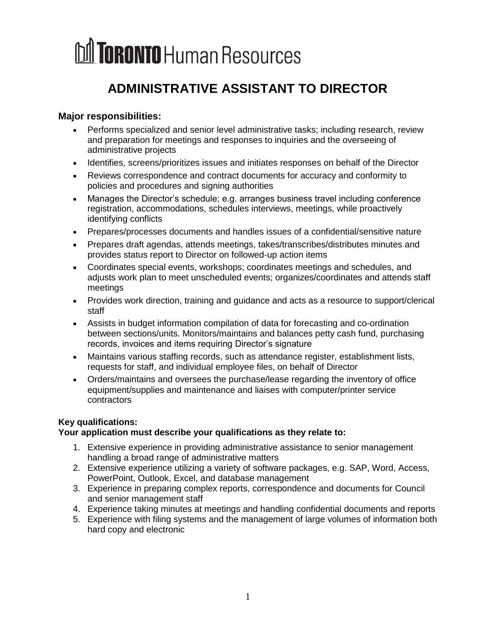### **ADMINISTRATIVE ASSISTANT TO DIRECTOR**

### **Major responsibilities:**

- Performs specialized and senior level administrative tasks; including research, review and preparation for meetings and responses to inquiries and the overseeing of administrative projects
- Identifies, screens/prioritizes issues and initiates responses on behalf of the Director
- Reviews correspondence and contract documents for accuracy and conformity to policies and procedures and signing authorities
- Manages the Director's schedule; e.g. arranges business travel including conference registration, accommodations, schedules interviews, meetings, while proactively identifying conflicts
- Prepares/processes documents and handles issues of a confidential/sensitive nature
- Prepares draft agendas, attends meetings, takes/transcribes/distributes minutes and provides status report to Director on followed-up action items
- Coordinates special events, workshops; coordinates meetings and schedules, and adjusts work plan to meet unscheduled events; organizes/coordinates and attends staff meetings
- Provides work direction, training and guidance and acts as a resource to support/clerical staff
- Assists in budget information compilation of data for forecasting and co-ordination between sections/units. Monitors/maintains and balances petty cash fund, purchasing records, invoices and items requiring Director's signature
- Maintains various staffing records, such as attendance register, establishment lists, requests for staff, and individual employee files, on behalf of Director
- Orders/maintains and oversees the purchase/lease regarding the inventory of office equipment/supplies and maintenance and liaises with computer/printer service contractors

### **Key qualifications:**

### **Your application must describe your qualifications as they relate to:**

- 1. Extensive experience in providing administrative assistance to senior management handling a broad range of administrative matters
- 2. Extensive experience utilizing a variety of software packages, e.g. SAP, Word, Access, PowerPoint, Outlook, Excel, and database management
- 3. Experience in preparing complex reports, correspondence and documents for Council and senior management staff
- 4. Experience taking minutes at meetings and handling confidential documents and reports
- 5. Experience with filing systems and the management of large volumes of information both hard copy and electronic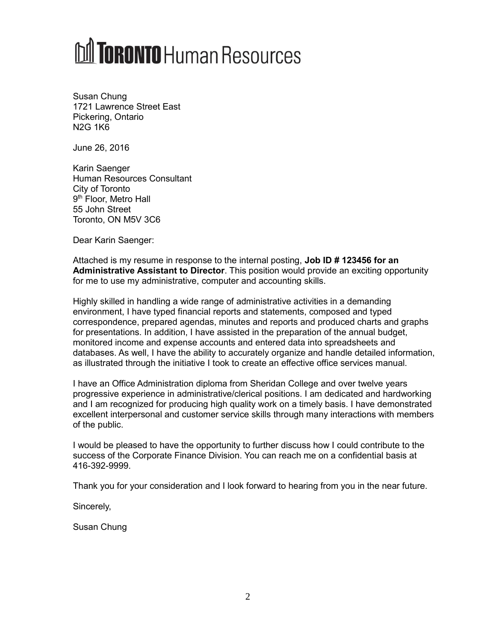Susan Chung 1721 Lawrence Street East Pickering, Ontario N2G 1K6

June 26, 2016

Karin Saenger Human Resources Consultant City of Toronto 9<sup>th</sup> Floor, Metro Hall 55 John Street Toronto, ON M5V 3C6

Dear Karin Saenger:

Attached is my resume in response to the internal posting, **Job ID # 123456 for an Administrative Assistant to Director**. This position would provide an exciting opportunity for me to use my administrative, computer and accounting skills.

Highly skilled in handling a wide range of administrative activities in a demanding environment, I have typed financial reports and statements, composed and typed correspondence, prepared agendas, minutes and reports and produced charts and graphs for presentations. In addition, I have assisted in the preparation of the annual budget, monitored income and expense accounts and entered data into spreadsheets and databases. As well, I have the ability to accurately organize and handle detailed information, as illustrated through the initiative I took to create an effective office services manual.

I have an Office Administration diploma from Sheridan College and over twelve years progressive experience in administrative/clerical positions. I am dedicated and hardworking and I am recognized for producing high quality work on a timely basis. I have demonstrated excellent interpersonal and customer service skills through many interactions with members of the public.

I would be pleased to have the opportunity to further discuss how I could contribute to the success of the Corporate Finance Division. You can reach me on a confidential basis at 416-392-9999.

Thank you for your consideration and I look forward to hearing from you in the near future.

Sincerely,

Susan Chung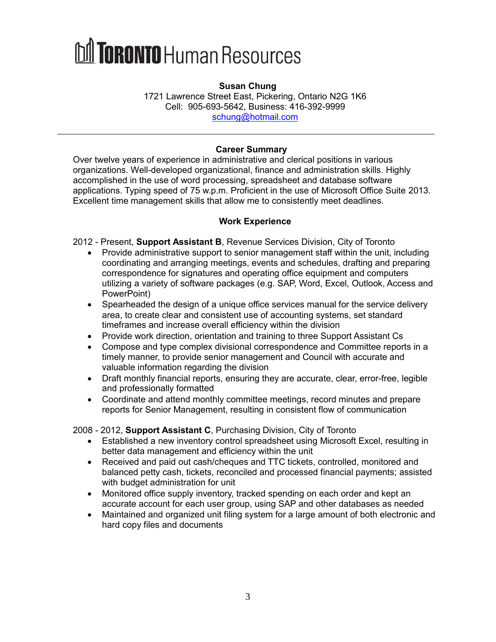#### **Susan Chung**

1721 Lawrence Street East, Pickering, Ontario N2G 1K6 Cell: 905-693-5642, Business: 416-392-9999 [schung@hotmail.com](mailto:schung@hotmail.com)

### **Career Summary**

Over twelve years of experience in administrative and clerical positions in various organizations. Well-developed organizational, finance and administration skills. Highly accomplished in the use of word processing, spreadsheet and database software applications. Typing speed of 75 w.p.m. Proficient in the use of Microsoft Office Suite 2013. Excellent time management skills that allow me to consistently meet deadlines.

### **Work Experience**

- 2012 Present, **Support Assistant B**, Revenue Services Division, City of Toronto
	- Provide administrative support to senior management staff within the unit, including coordinating and arranging meetings, events and schedules, drafting and preparing correspondence for signatures and operating office equipment and computers utilizing a variety of software packages (e.g. SAP, Word, Excel, Outlook, Access and PowerPoint)
	- Spearheaded the design of a unique office services manual for the service delivery area, to create clear and consistent use of accounting systems, set standard timeframes and increase overall efficiency within the division
	- Provide work direction, orientation and training to three Support Assistant Cs
	- Compose and type complex divisional correspondence and Committee reports in a timely manner, to provide senior management and Council with accurate and valuable information regarding the division
	- Draft monthly financial reports, ensuring they are accurate, clear, error-free, legible and professionally formatted
	- Coordinate and attend monthly committee meetings, record minutes and prepare reports for Senior Management, resulting in consistent flow of communication

2008 - 2012, **Support Assistant C**, Purchasing Division, City of Toronto

- Established a new inventory control spreadsheet using Microsoft Excel, resulting in better data management and efficiency within the unit
- Received and paid out cash/cheques and TTC tickets, controlled, monitored and balanced petty cash, tickets, reconciled and processed financial payments; assisted with budget administration for unit
- Monitored office supply inventory, tracked spending on each order and kept an accurate account for each user group, using SAP and other databases as needed
- Maintained and organized unit filing system for a large amount of both electronic and hard copy files and documents